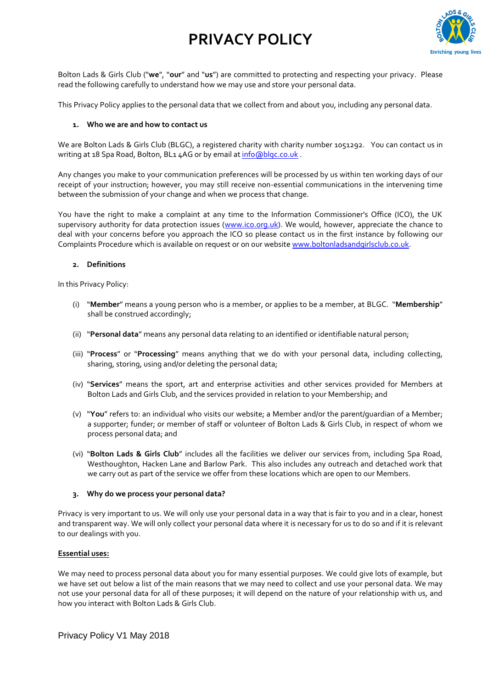

Bolton Lads & Girls Club ("**we**", "**our**" and "**us**") are committed to protecting and respecting your privacy. Please read the following carefully to understand how we may use and store your personal data.

This Privacy Policy applies to the personal data that we collect from and about you, including any personal data.

#### **1. Who we are and how to contact us**

We are Bolton Lads & Girls Club (BLGC), a registered charity with charity number 1051292. You can contact us in writing at 18 Spa Road, Bolton, BL1 4AG or by email at info@blqc.co.uk.

Any changes you make to your communication preferences will be processed by us within ten working days of our receipt of your instruction; however, you may still receive non-essential communications in the intervening time between the submission of your change and when we process that change.

You have the right to make a complaint at any time to the Information Commissioner's Office (ICO), the UK supervisory authority for data protection issues [\(www.ico.org.uk\)](http://www.ico.org.uk/). We would, however, appreciate the chance to deal with your concerns before you approach the ICO so please contact us in the first instance by following our Complaints Procedure which is available on request or on our websit[e www.boltonladsandgirlsclub.co.uk.](http://www.boltonladsandgirlsclub.co.uk/)

#### **2. Definitions**

In this Privacy Policy:

- (i) "**Member**" means a young person who is a member, or applies to be a member, at BLGC. "**Membership**" shall be construed accordingly;
- (ii) "**Personal data**" means any personal data relating to an identified or identifiable natural person;
- (iii) "**Process**" or "**Processing**" means anything that we do with your personal data, including collecting, sharing, storing, using and/or deleting the personal data;
- (iv) "**Services**" means the sport, art and enterprise activities and other services provided for Members at Bolton Lads and Girls Club, and the services provided in relation to your Membership; and
- (v) "**You**" refers to: an individual who visits our website; a Member and/or the parent/guardian of a Member; a supporter; funder; or member of staff or volunteer of Bolton Lads & Girls Club, in respect of whom we process personal data; and
- (vi) "**Bolton Lads & Girls Club**" includes all the facilities we deliver our services from, including Spa Road, Westhoughton, Hacken Lane and Barlow Park. This also includes any outreach and detached work that we carry out as part of the service we offer from these locations which are open to our Members.

#### **3. Why do we process your personal data?**

Privacy is very important to us. We will only use your personal data in a way that is fair to you and in a clear, honest and transparent way. We will only collect your personal data where it is necessary for us to do so and if it is relevant to our dealings with you.

#### **Essential uses:**

We may need to process personal data about you for many essential purposes. We could give lots of example, but we have set out below a list of the main reasons that we may need to collect and use your personal data. We may not use your personal data for all of these purposes; it will depend on the nature of your relationship with us, and how you interact with Bolton Lads & Girls Club.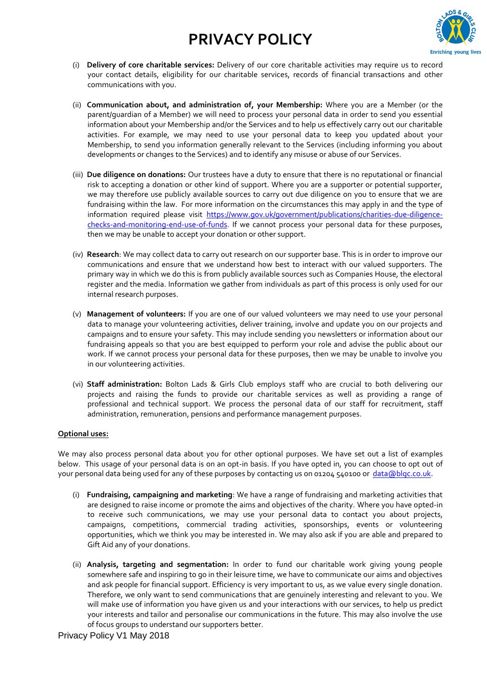

- (i) **Delivery of core charitable services:** Delivery of our core charitable activities may require us to record your contact details, eligibility for our charitable services, records of financial transactions and other communications with you.
- (ii) **Communication about, and administration of, your Membership:** Where you are a Member (or the parent/guardian of a Member) we will need to process your personal data in order to send you essential information about your Membership and/or the Services and to help us effectively carry out our charitable activities. For example, we may need to use your personal data to keep you updated about your Membership, to send you information generally relevant to the Services (including informing you about developments or changes to the Services) and to identify any misuse or abuse of our Services.
- (iii) **Due diligence on donations:** Our trustees have a duty to ensure that there is no reputational or financial risk to accepting a donation or other kind of support. Where you are a supporter or potential supporter, we may therefore use publicly available sources to carry out due diligence on you to ensure that we are fundraising within the law. For more information on the circumstances this may apply in and the type of information required please visit [https://www.gov.uk/government/publications/charities-due-diligence](https://www.gov.uk/government/publications/charities-due-diligence-checks-and-monitoring-end-use-of-funds)[checks-and-monitoring-end-use-of-funds.](https://www.gov.uk/government/publications/charities-due-diligence-checks-and-monitoring-end-use-of-funds) If we cannot process your personal data for these purposes, then we may be unable to accept your donation or other support.
- (iv) **Research**: We may collect data to carry out research on our supporter base. This is in order to improve our communications and ensure that we understand how best to interact with our valued supporters. The primary way in which we do this is from publicly available sources such as Companies House, the electoral register and the media. Information we gather from individuals as part of this process is only used for our internal research purposes.
- (v) **Management of volunteers:** If you are one of our valued volunteers we may need to use your personal data to manage your volunteering activities, deliver training, involve and update you on our projects and campaigns and to ensure your safety. This may include sending you newsletters or information about our fundraising appeals so that you are best equipped to perform your role and advise the public about our work. If we cannot process your personal data for these purposes, then we may be unable to involve you in our volunteering activities.
- (vi) **Staff administration:** Bolton Lads & Girls Club employs staff who are crucial to both delivering our projects and raising the funds to provide our charitable services as well as providing a range of professional and technical support. We process the personal data of our staff for recruitment, staff administration, remuneration, pensions and performance management purposes.

## **Optional uses:**

We may also process personal data about you for other optional purposes. We have set out a list of examples below. This usage of your personal data is on an opt-in basis. If you have opted in, you can choose to opt out of your personal data being used for any of these purposes by contacting us on 01204 540100 or [data@blgc.co.uk.](mailto:data@blgc.co.uk)

- (i) **Fundraising, campaigning and marketing**: We have a range of fundraising and marketing activities that are designed to raise income or promote the aims and objectives of the charity. Where you have opted-in to receive such communications, we may use your personal data to contact you about projects, campaigns, competitions, commercial trading activities, sponsorships, events or volunteering opportunities, which we think you may be interested in. We may also ask if you are able and prepared to Gift Aid any of your donations.
- (ii) **Analysis, targeting and segmentation:** In order to fund our charitable work giving young people somewhere safe and inspiring to go in their leisure time, we have to communicate our aims and objectives and ask people for financial support. Efficiency is very important to us, as we value every single donation. Therefore, we only want to send communications that are genuinely interesting and relevant to you. We will make use of information you have given us and your interactions with our services, to help us predict your interests and tailor and personalise our communications in the future. This may also involve the use of focus groups to understand our supporters better.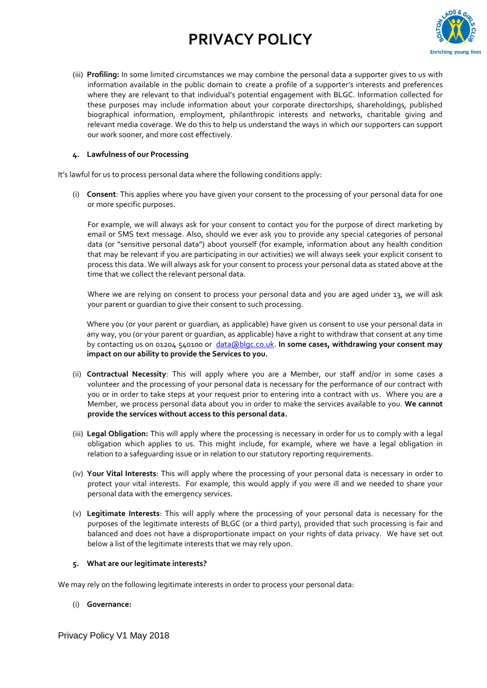

(iii) **Profiling:** In some limited circumstances we may combine the personal data a supporter gives to us with information available in the public domain to create a profile of a supporter's interests and preferences where they are relevant to that individual's potential engagement with BLGC. Information collected for these purposes may include information about your corporate directorships, shareholdings, published biographical information, employment, philanthropic interests and networks, charitable giving and relevant media coverage. We do this to help us understand the ways in which our supporters can support our work sooner, and more cost effectively.

#### **4. Lawfulness of our Processing**

It's lawful for us to process personal data where the following conditions apply:

(i) **Consent**: This applies where you have given your consent to the processing of your personal data for one or more specific purposes.

For example, we will always ask for your consent to contact you for the purpose of direct marketing by email or SMS text message. Also, should we ever ask you to provide any special categories of personal data (or "sensitive personal data") about yourself (for example, information about any health condition that may be relevant if you are participating in our activities) we will always seek your explicit consent to process this data. We will always ask for your consent to process your personal data as stated above at the time that we collect the relevant personal data.

Where we are relying on consent to process your personal data and you are aged under 13, we will ask your parent or guardian to give their consent to such processing.

Where you (or your parent or guardian, as applicable) have given us consent to use your personal data in any way, you (or your parent or guardian, as applicable) have a right to withdraw that consent at any time by contacting us on 01204 540100 or [data@blgc.co.uk.](mailto:data@blgc.co.uk) **In some cases, withdrawing your consent may impact on our ability to provide the Services to you.**

- (ii) **Contractual Necessity**: This will apply where you are a Member, our staff and/or in some cases a volunteer and the processing of your personal data is necessary for the performance of our contract with you or in order to take steps at your request prior to entering into a contract with us. Where you are a Member, we process personal data about you in order to make the services available to you. **We cannot provide the services without access to this personal data.**
- (iii) **Legal Obligation:** This will apply where the processing is necessary in order for us to comply with a legal obligation which applies to us. This might include, for example, where we have a legal obligation in relation to a safeguarding issue or in relation to our statutory reporting requirements.
- (iv) **Your Vital Interests**: This will apply where the processing of your personal data is necessary in order to protect your vital interests. For example, this would apply if you were ill and we needed to share your personal data with the emergency services.
- (v) **Legitimate Interests**: This will apply where the processing of your personal data is necessary for the purposes of the legitimate interests of BLGC (or a third party), provided that such processing is fair and balanced and does not have a disproportionate impact on your rights of data privacy. We have set out below a list of the legitimate interests that we may rely upon.

## **5. What are our legitimate interests?**

We may rely on the following legitimate interests in order to process your personal data:

## (i) **Governance:**

Privacy Policy V1 May 2018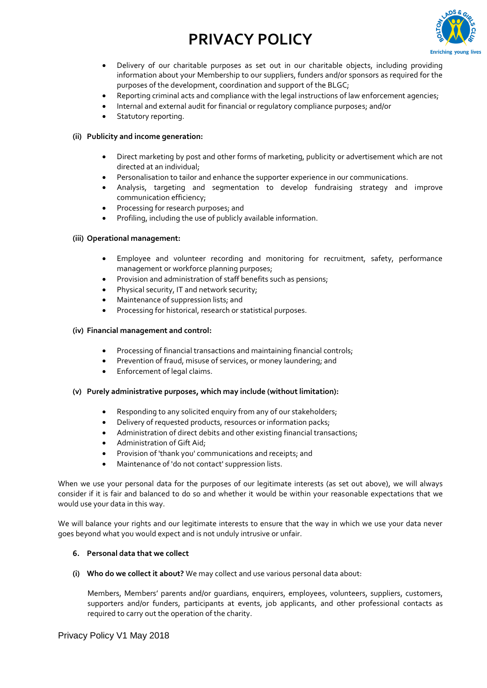

- Delivery of our charitable purposes as set out in our charitable objects, including providing information about your Membership to our suppliers, funders and/or sponsors as required for the purposes of the development, coordination and support of the BLGC;
- Reporting criminal acts and compliance with the legal instructions of law enforcement agencies;
- Internal and external audit for financial or regulatory compliance purposes; and/or
- Statutory reporting.

## **(ii) Publicity and income generation:**

- Direct marketing by post and other forms of marketing, publicity or advertisement which are not directed at an individual;
- Personalisation to tailor and enhance the supporter experience in our communications.
- Analysis, targeting and segmentation to develop fundraising strategy and improve communication efficiency;
- Processing for research purposes; and
- Profiling, including the use of publicly available information.

## **(iii) Operational management:**

- Employee and volunteer recording and monitoring for recruitment, safety, performance management or workforce planning purposes;
- Provision and administration of staff benefits such as pensions;
- Physical security, IT and network security;
- Maintenance of suppression lists; and
- Processing for historical, research or statistical purposes.

#### **(iv) Financial management and control:**

- Processing of financial transactions and maintaining financial controls;
- Prevention of fraud, misuse of services, or money laundering; and
- Enforcement of legal claims.

#### **(v) Purely administrative purposes, which may include (without limitation):**

- Responding to any solicited enquiry from any of our stakeholders;
- Delivery of requested products, resources or information packs;
- Administration of direct debits and other existing financial transactions;
- Administration of Gift Aid;
- Provision of 'thank you' communications and receipts; and
- Maintenance of 'do not contact' suppression lists.

When we use your personal data for the purposes of our legitimate interests (as set out above), we will always consider if it is fair and balanced to do so and whether it would be within your reasonable expectations that we would use your data in this way.

We will balance your rights and our legitimate interests to ensure that the way in which we use your data never goes beyond what you would expect and is not unduly intrusive or unfair.

#### **6. Personal data that we collect**

**(i) Who do we collect it about?** We may collect and use various personal data about:

Members, Members' parents and/or guardians, enquirers, employees, volunteers, suppliers, customers, supporters and/or funders, participants at events, job applicants, and other professional contacts as required to carry out the operation of the charity.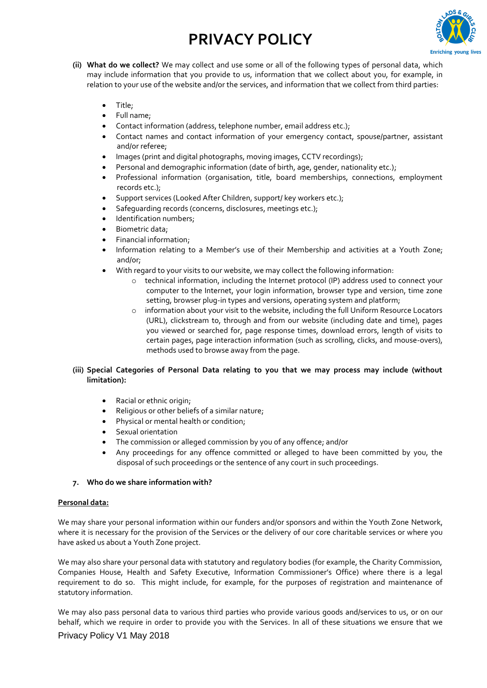

- **(ii) What do we collect?** We may collect and use some or all of the following types of personal data, which may include information that you provide to us, information that we collect about you, for example, in relation to your use of the website and/or the services, and information that we collect from third parties:
	- Title;
	- Full name;
	- Contact information (address, telephone number, email address etc.);
	- Contact names and contact information of your emergency contact, spouse/partner, assistant and/or referee;
	- Images (print and digital photographs, moving images, CCTV recordings);
	- Personal and demographic information (date of birth, age, gender, nationality etc.);
	- Professional information (organisation, title, board memberships, connections, employment records etc.);
	- Support services (Looked After Children, support/ key workers etc.);
	- Safequarding records (concerns, disclosures, meetings etc.);
	- Identification numbers;
	- Biometric data;
	- Financial information;
	- Information relating to a Member's use of their Membership and activities at a Youth Zone; and/or;
	- With regard to your visits to our website, we may collect the following information:
		- o technical information, including the Internet protocol (IP) address used to connect your computer to the Internet, your login information, browser type and version, time zone setting, browser plug-in types and versions, operating system and platform;
		- o information about your visit to the website, including the full Uniform Resource Locators (URL), clickstream to, through and from our website (including date and time), pages you viewed or searched for, page response times, download errors, length of visits to certain pages, page interaction information (such as scrolling, clicks, and mouse-overs), methods used to browse away from the page.

## **(iii) Special Categories of Personal Data relating to you that we may process may include (without limitation):**

- Racial or ethnic origin;
- Religious or other beliefs of a similar nature;
- Physical or mental health or condition;
- Sexual orientation
- The commission or alleged commission by you of any offence; and/or
- Any proceedings for any offence committed or alleged to have been committed by you, the disposal of such proceedings or the sentence of any court in such proceedings.

## **7. Who do we share information with?**

## **Personal data:**

We may share your personal information within our funders and/or sponsors and within the Youth Zone Network, where it is necessary for the provision of the Services or the delivery of our core charitable services or where you have asked us about a Youth Zone project.

We may also share your personal data with statutory and regulatory bodies (for example, the Charity Commission, Companies House, Health and Safety Executive, Information Commissioner's Office) where there is a legal requirement to do so. This might include, for example, for the purposes of registration and maintenance of statutory information.

We may also pass personal data to various third parties who provide various goods and/services to us, or on our behalf, which we require in order to provide you with the Services. In all of these situations we ensure that we

## Privacy Policy V1 May 2018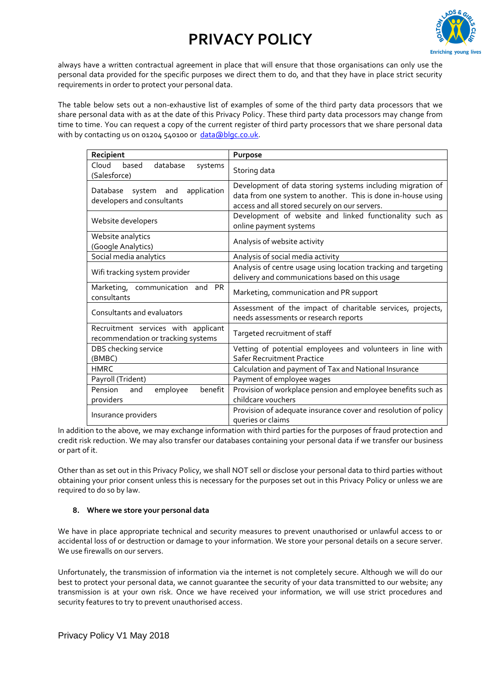

always have a written contractual agreement in place that will ensure that those organisations can only use the personal data provided for the specific purposes we direct them to do, and that they have in place strict security requirements in order to protect your personal data.

The table below sets out a non-exhaustive list of examples of some of the third party data processors that we share personal data with as at the date of this Privacy Policy. These third party data processors may change from time to time. You can request a copy of the current register of third party processors that we share personal data with by contacting us on 01204 540100 or [data@blgc.co.uk.](mailto:data@blgc.co.uk)

| Recipient                                                                 | Purpose                                                                                                                                                                      |
|---------------------------------------------------------------------------|------------------------------------------------------------------------------------------------------------------------------------------------------------------------------|
| Cloud<br>based<br>database<br>systems<br>(Salesforce)                     | Storing data                                                                                                                                                                 |
| application<br>Database<br>system and<br>developers and consultants       | Development of data storing systems including migration of<br>data from one system to another. This is done in-house using<br>access and all stored securely on our servers. |
| Website developers                                                        | Development of website and linked functionality such as<br>online payment systems                                                                                            |
| Website analytics<br>(Google Analytics)                                   | Analysis of website activity                                                                                                                                                 |
| Social media analytics                                                    | Analysis of social media activity                                                                                                                                            |
| Wifi tracking system provider                                             | Analysis of centre usage using location tracking and targeting<br>delivery and communications based on this usage                                                            |
| Marketing, communication and<br><b>PR</b><br>consultants                  | Marketing, communication and PR support                                                                                                                                      |
| Consultants and evaluators                                                | Assessment of the impact of charitable services, projects,<br>needs assessments or research reports                                                                          |
| Recruitment services with applicant<br>recommendation or tracking systems | Targeted recruitment of staff                                                                                                                                                |
| DBS checking service<br>(BMBC)                                            | Vetting of potential employees and volunteers in line with<br><b>Safer Recruitment Practice</b>                                                                              |
| <b>HMRC</b>                                                               | Calculation and payment of Tax and National Insurance                                                                                                                        |
| Payroll (Trident)                                                         | Payment of employee wages                                                                                                                                                    |
| benefit<br>Pension<br>employee<br>and<br>providers                        | Provision of workplace pension and employee benefits such as<br>childcare vouchers                                                                                           |
| Insurance providers                                                       | Provision of adequate insurance cover and resolution of policy<br>queries or claims                                                                                          |

In addition to the above, we may exchange information with third parties for the purposes of fraud protection and credit risk reduction. We may also transfer our databases containing your personal data if we transfer our business or part of it.

Other than as set out in this Privacy Policy, we shall NOT sell or disclose your personal data to third parties without obtaining your prior consent unless this is necessary for the purposes set out in this Privacy Policy or unless we are required to do so by law.

## **8. Where we store your personal data**

We have in place appropriate technical and security measures to prevent unauthorised or unlawful access to or accidental loss of or destruction or damage to your information. We store your personal details on a secure server. We use firewalls on our servers.

Unfortunately, the transmission of information via the internet is not completely secure. Although we will do our best to protect your personal data, we cannot guarantee the security of your data transmitted to our website; any transmission is at your own risk. Once we have received your information, we will use strict procedures and security features to try to prevent unauthorised access.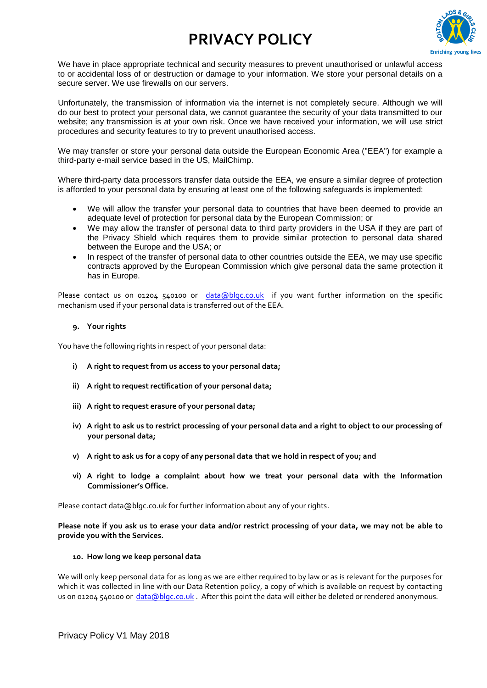

We have in place appropriate technical and security measures to prevent unauthorised or unlawful access to or accidental loss of or destruction or damage to your information. We store your personal details on a secure server. We use firewalls on our servers.

Unfortunately, the transmission of information via the internet is not completely secure. Although we will do our best to protect your personal data, we cannot guarantee the security of your data transmitted to our website; any transmission is at your own risk. Once we have received your information, we will use strict procedures and security features to try to prevent unauthorised access.

We may transfer or store your personal data outside the European Economic Area ("EEA") for example a third-party e-mail service based in the US, MailChimp.

Where third-party data processors transfer data outside the EEA, we ensure a similar degree of protection is afforded to your personal data by ensuring at least one of the following safeguards is implemented:

- We will allow the transfer your personal data to countries that have been deemed to provide an adequate level of protection for personal data by the European Commission; or
- We may allow the transfer of personal data to third party providers in the USA if they are part of the Privacy Shield which requires them to provide similar protection to personal data shared between the Europe and the USA; or
- In respect of the transfer of personal data to other countries outside the EEA, we may use specific contracts approved by the European Commission which give personal data the same protection it has in Europe.

Please contact us on 01204 540100 or [data@blgc.co.uk](mailto:data@blgc.co.uk) if you want further information on the specific mechanism used if your personal data is transferred out of the EEA.

#### **9. Your rights**

You have the following rights in respect of your personal data:

- **i) A right to request from us access to your personal data;**
- **ii) A right to request rectification of your personal data;**
- **iii) A right to request erasure of your personal data;**
- **iv) A right to ask us to restrict processing of your personal data and a right to object to our processing of your personal data;**
- **v) A right to ask us for a copy of any personal data that we hold in respect of you; and**
- **vi) A right to lodge a complaint about how we treat your personal data with the Information Commissioner's Office.**

Please contact data@blgc.co.uk for further information about any of your rights.

**Please note if you ask us to erase your data and/or restrict processing of your data, we may not be able to provide you with the Services.**

#### **10. How long we keep personal data**

We will only keep personal data for as long as we are either required to by law or as is relevant for the purposes for which it was collected in line with our Data Retention policy, a copy of which is available on request by contacting us on 01204 540100 or [data@blgc.co.uk](mailto:data@blgc.co.uk) . After this point the data will either be deleted or rendered anonymous.